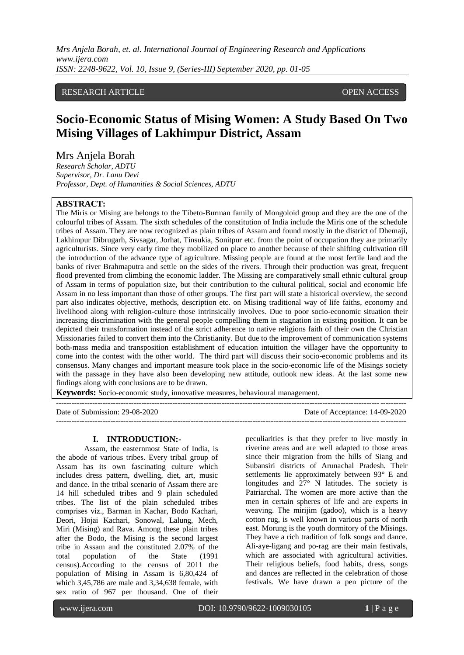# RESEARCH ARTICLE **CONSERVERS** OPEN ACCESS

# **Socio-Economic Status of Mising Women: A Study Based On Two Mising Villages of Lakhimpur District, Assam**

# Mrs Anjela Borah

*Research Scholar, ADTU Supervisor, Dr. Lanu Devi Professor, Dept. of Humanities & Social Sciences, ADTU*

# **ABSTRACT:**

The Miris or Mising are belongs to the Tibeto-Burman family of Mongoloid group and they are the one of the colourful tribes of Assam. The sixth schedules of the constitution of India include the Miris one of the schedule tribes of Assam. They are now recognized as plain tribes of Assam and found mostly in the district of Dhemaji, Lakhimpur Dibrugarh, Sivsagar, Jorhat, Tinsukia, Sonitpur etc. from the point of occupation they are primarily agriculturists. Since very early time they mobilized on place to another because of their shifting cultivation till the introduction of the advance type of agriculture. Missing people are found at the most fertile land and the banks of river Brahmaputra and settle on the sides of the rivers. Through their production was great, frequent flood prevented from climbing the economic ladder. The Missing are comparatively small ethnic cultural group of Assam in terms of population size, but their contribution to the cultural political, social and economic life Assam in no less important than those of other groups. The first part will state a historical overview, the second part also indicates objective, methods, description etc. on Mising traditional way of life faiths, economy and livelihood along with religion-culture those intrinsically involves. Due to poor socio-economic situation their increasing discrimination with the general people compelling them in stagnation in existing position. It can be depicted their transformation instead of the strict adherence to native religions faith of their own the Christian Missionaries failed to convert them into the Christianity. But due to the improvement of communication systems both-mass media and transposition establishment of education intuition the villager have the opportunity to come into the contest with the other world. The third part will discuss their socio-economic problems and its consensus. Many changes and important measure took place in the socio-economic life of the Misings society with the passage in they have also been developing new attitude, outlook new ideas. At the last some new findings along with conclusions are to be drawn.

**Keywords:** Socio-economic study, innovative measures, behavioural management.

--------------------------------------------------------------------------------------------------------------------------------------- Date of Submission: 29-08-2020 Date of Acceptance: 14-09-2020  $-1.1$ 

# **I. INTRODUCTION:-**

Assam, the easternmost State of India, is the abode of various tribes. Every tribal group of Assam has its own fascinating culture which includes dress pattern, dwelling, diet, art, music and dance. In the tribal scenario of Assam there are 14 hill scheduled tribes and 9 plain scheduled tribes. The list of the plain scheduled tribes comprises viz., Barman in Kachar, Bodo Kachari, Deori, Hojai Kachari, Sonowal, Lalung, Mech, Miri (Mising) and Rava. Among these plain tribes after the Bodo, the Mising is the second largest tribe in Assam and the constituted 2.07% of the total population of the State (1991 census).According to the census of 2011 the population of Mising in Assam is 6,80,424 of which 3,45,786 are male and 3,34,638 female, with sex ratio of 967 per thousand. One of their

peculiarities is that they prefer to live mostly in riverine areas and are well adapted to those areas since their migration from the hills of Siang and Subansiri districts of Arunachal Pradesh. Their settlements lie approximately between 93° E and longitudes and  $27^\circ$  N latitudes. The society is Patriarchal. The women are more active than the men in certain spheres of life and are experts in weaving. The mirijim (gadoo), which is a heavy cotton rug, is well known in various parts of north east. Morung is the youth dormitory of the Misings. They have a rich tradition of folk songs and dance. Ali-aye-ligang and po-rag are their main festivals, which are associated with agricultural activities. Their religious beliefs, food habits, dress, songs and dances are reflected in the celebration of those festivals. We have drawn a pen picture of the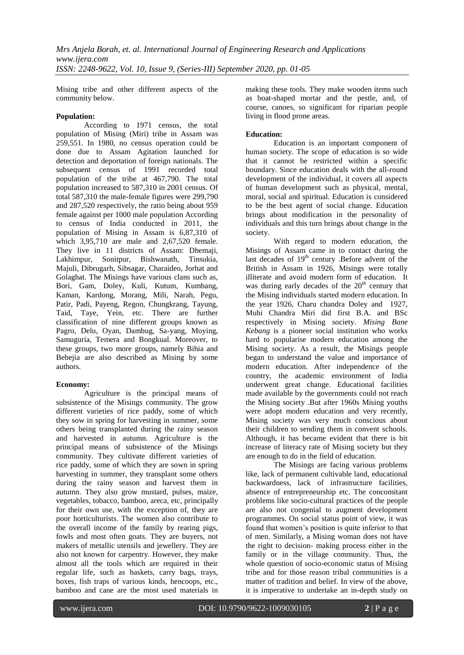Mising tribe and other different aspects of the community below.

# **Population:**

According to 1971 census, the total population of Mising (Miri) tribe in Assam was 259,551. In 1980, no census operation could be done due to Assam Agitation launched for detection and deportation of foreign nationals. The subsequent census of 1991 recorded total population of the tribe at 467,790. The total population increased to 587,310 in 2001 census. Of total 587,310 the male-female figures were 299,790 and 287,520 respectively, the ratio being about 959 female against per 1000 male population According to census of India conducted in 2011, the population of Mising in Assam is 6,87,310 of which 3,95,710 are male and 2,67,520 female. They live in 11 districts of Assam: Dhemaji, Lakhimpur, Sonitpur, Bishwanath, Tinsukia, Majuli, Dibrugarh, Sibsagar, Charaideo, Jorhat and Golaghat. The Misings have various clans such as, Bori, Gam, Doley, Kuli, Kutum, Kumbang, Kaman, Kardong, Morang, Mili, Narah, Pegu, Patir, Padi, Payeng, Regon, Chungkrang, Tayung, Taid, Taye, Yein, etc. There are further classification of nine different groups known as Pagro, Delu, Oyan, Dambug, Sa-yang, Moying, Samuguria, Temera and Bongkual. Moreover, to these groups, two more groups, namely Bihia and Bebejia are also described as Mising by some authors.

## **Economy:**

Agriculture is the principal means of subsistence of the Misings community. The grow different varieties of rice paddy, some of which they sow in spring for harvesting in summer, some others being transplanted during the rainy season and harvested in autumn. Agriculture is the principal means of subsistence of the Misings community. They cultivate different varieties of rice paddy, some of which they are sown in spring harvesting in summer, they transplant some others during the rainy season and harvest them in autumn. They also grow mustard, pulses, maize, vegetables, tobacco, bamboo, areca, etc, principally for their own use, with the exception of, they are poor horticulturists. The women also contribute to the overall income of the family by rearing pigs, fowls and most often goats. They are buyers, not makers of metallic utensils and jewellery. They are also not known for carpentry. However, they make almost all the tools which are required in their regular life, such as baskets, carry bags, trays, boxes, fish traps of various kinds, hencoops, etc., bamboo and cane are the most used materials in

making these tools. They make wooden items such as boat-shaped mortar and the pestle, and, of course, canoes, so significant for riparian people living in flood prone areas.

# **Education:**

Education is an important component of human society. The scope of education is so wide that it cannot be restricted within a specific boundary. Since education deals with the all-round development of the individual, it covers all aspects of human development such as physical, mental, moral, social and spiritual. Education is considered to be the best agent of social change. Education brings about modification in the personality of individuals and this turn brings about change in the society.

With regard to modern education, the Misings of Assam came in to contact during the last decades of  $19<sup>th</sup>$  century .Before advent of the British in Assam in 1926, Misings were totally illiterate and avoid modern form of education. It was during early decades of the  $20<sup>th</sup>$  century that the Mising individuals started modern education. In the year 1926, Charu chandra Doley and 1927, Muhi Chandra Miri did first B.A. and BSc respectively in Mising society. *Mising Bane Kebang* is a pioneer social institution who works hard to popularise modern education among the Mising society. As a result, the Misings people began to understand the value and importance of modern education. After independence of the country, the academic environment of India underwent great change. Educational facilities made available by the governments could not reach the Mising society .But after 1960s Mising youths were adopt modern education and very recently, Mising society was very much conscious about their children to sending them in convent schools. Although, it has became evident that there is bit increase of literacy rate of Mising society but they are enough to do in the field of education.

The Misings are facing various problems like, lack of permanent cultivable land, educational backwardness, lack of infrastructure facilities, absence of entrepreneurship etc. The concomitant problems like socio-cultural practices of the people are also not congenial to augment development programmes. On social status point of view, it was found that women's position is quite inferior to that of men. Similarly, a Mising woman does not have the right to decision- making process either in the family or in the village community. Thus, the whole question of socio-economic status of Mising tribe and for those reason tribal communities is a matter of tradition and belief. In view of the above, it is imperative to undertake an in-depth study on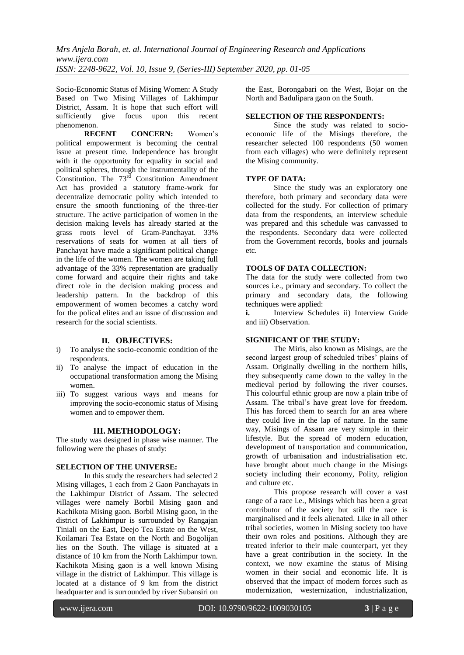Socio-Economic Status of Mising Women: A Study Based on Two Mising Villages of Lakhimpur District, Assam. It is hope that such effort will sufficiently give focus upon this recent phenomenon.

**RECENT CONCERN:** Women's political empowerment is becoming the central issue at present time. Independence has brought with it the opportunity for equality in social and political spheres, through the instrumentality of the Constitution. The  $73^{\overline{rd}}$  Constitution Amendment Act has provided a statutory frame-work for decentralize democratic polity which intended to ensure the smooth functioning of the three-tier structure. The active participation of women in the decision making levels has already started at the grass roots level of Gram-Panchayat. 33% reservations of seats for women at all tiers of Panchayat have made a significant political change in the life of the women. The women are taking full advantage of the 33% representation are gradually come forward and acquire their rights and take direct role in the decision making process and leadership pattern. In the backdrop of this empowerment of women becomes a catchy word for the polical elites and an issue of discussion and research for the social scientists.

## **II. OBJECTIVES:**

- i) To analyse the socio-economic condition of the respondents.
- ii) To analyse the impact of education in the occupational transformation among the Mising women.
- iii) To suggest various ways and means for improving the socio-economic status of Mising women and to empower them.

#### **III. METHODOLOGY:**

The study was designed in phase wise manner. The following were the phases of study:

## **SELECTION OF THE UNIVERSE:**

In this study the researchers had selected 2 Mising villages, 1 each from 2 Gaon Panchayats in the Lakhimpur District of Assam. The selected villages were namely Borbil Mising gaon and Kachikota Mising gaon. Borbil Mising gaon, in the district of Lakhimpur is surrounded by Rangajan Tiniali on the East, Deejo Tea Estate on the West, Koilamari Tea Estate on the North and Bogolijan lies on the South. The village is situated at a distance of 10 km from the North Lakhimpur town. Kachikota Mising gaon is a well known Mising village in the district of Lakhimpur. This village is located at a distance of 9 km from the district headquarter and is surrounded by river Subansiri on

the East, Borongabari on the West, Bojar on the North and Badulipara gaon on the South.

## **SELECTION OF THE RESPONDENTS:**

Since the study was related to socioeconomic life of the Misings therefore, the researcher selected 100 respondents (50 women from each villages) who were definitely represent the Mising community.

#### **TYPE OF DATA:**

Since the study was an exploratory one therefore, both primary and secondary data were collected for the study. For collection of primary data from the respondents, an interview schedule was prepared and this schedule was canvassed to the respondents. Secondary data were collected from the Government records, books and journals etc.

## **TOOLS OF DATA COLLECTION:**

The data for the study were collected from two sources i.e., primary and secondary. To collect the primary and secondary data, the following techniques were applied:

**i.** Interview Schedules ii) Interview Guide and iii) Observation.

## **SIGNIFICANT OF THE STUDY:**

The Miris, also known as Misings, are the second largest group of scheduled tribes' plains of Assam. Originally dwelling in the northern hills, they subsequently came down to the valley in the medieval period by following the river courses. This colourful ethnic group are now a plain tribe of Assam. The tribal's have great love for freedom. This has forced them to search for an area where they could live in the lap of nature. In the same way, Misings of Assam are very simple in their lifestyle. But the spread of modern education, development of transportation and communication, growth of urbanisation and industrialisation etc. have brought about much change in the Misings society including their economy, Polity, religion and culture etc.

This propose research will cover a vast range of a race i.e., Misings which has been a great contributor of the society but still the race is marginalised and it feels alienated. Like in all other tribal societies, women in Mising society too have their own roles and positions. Although they are treated inferior to their male counterpart, yet they have a great contribution in the society. In the context, we now examine the status of Mising women in their social and economic life. It is observed that the impact of modern forces such as modernization, westernization, industrialization,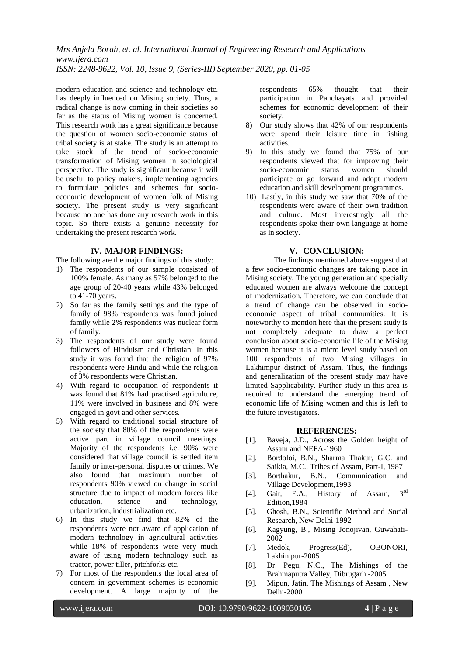modern education and science and technology etc. has deeply influenced on Mising society. Thus, a radical change is now coming in their societies so far as the status of Mising women is concerned. This research work has a great significance because the question of women socio-economic status of tribal society is at stake. The study is an attempt to take stock of the trend of socio-economic transformation of Mising women in sociological perspective. The study is significant because it will be useful to policy makers, implementing agencies to formulate policies and schemes for socioeconomic development of women folk of Mising society. The present study is very significant because no one has done any research work in this topic. So there exists a genuine necessity for undertaking the present research work.

### **IV. MAJOR FINDINGS:**

The following are the major findings of this study:

- 1) The respondents of our sample consisted of 100% female. As many as 57% belonged to the age group of 20-40 years while 43% belonged to 41-70 years.
- 2) So far as the family settings and the type of family of 98% respondents was found joined family while 2% respondents was nuclear form of family.
- 3) The respondents of our study were found followers of Hinduism and Christian. In this study it was found that the religion of 97% respondents were Hindu and while the religion of 3% respondents were Christian.
- 4) With regard to occupation of respondents it was found that 81% had practised agriculture, 11% were involved in business and 8% were engaged in govt and other services.
- 5) With regard to traditional social structure of the society that 80% of the respondents were active part in village council meetings. Majority of the respondents i.e. 90% were considered that village council is settled item family or inter-personal disputes or crimes. We also found that maximum number of respondents 90% viewed on change in social structure due to impact of modern forces like education, science and technology, urbanization, industrialization etc.
- 6) In this study we find that 82% of the respondents were not aware of application of modern technology in agricultural activities while 18% of respondents were very much aware of using modern technology such as tractor, power tiller, pitchforks etc.
- 7) For most of the respondents the local area of concern in government schemes is economic development. A large majority of the

respondents 65% thought that their participation in Panchayats and provided schemes for economic development of their society.

- 8) Our study shows that 42% of our respondents were spend their leisure time in fishing activities.
- 9) In this study we found that 75% of our respondents viewed that for improving their socio-economic status women should participate or go forward and adopt modern education and skill development programmes.
- 10) Lastly, in this study we saw that 70% of the respondents were aware of their own tradition and culture. Most interestingly all the respondents spoke their own language at home as in society.

#### **V. CONCLUSION:**

The findings mentioned above suggest that a few socio-economic changes are taking place in Mising society. The young generation and specially educated women are always welcome the concept of modernization. Therefore, we can conclude that a trend of change can be observed in socioeconomic aspect of tribal communities. It is noteworthy to mention here that the present study is not completely adequate to draw a perfect conclusion about socio-economic life of the Mising women because it is a micro level study based on 100 respondents of two Mising villages in Lakhimpur district of Assam. Thus, the findings and generalization of the present study may have limited Sapplicability. Further study in this area is required to understand the emerging trend of economic life of Mising women and this is left to the future investigators.

#### **REFERENCES:**

- [1]. Baveja, J.D., Across the Golden height of Assam and NEFA-1960
- [2]. Bordoloi, B.N., Sharma Thakur, G.C. and Saikia, M.C., Tribes of Assam, Part-I, 1987
- [3]. Borthakur, B.N., Communication and Village Development,1993
- [4]. Gait, E.A., History of Assam, 3rd Edition,1984
- [5]. Ghosh, B.N., Scientific Method and Social Research, New Delhi-1992
- [6]. Kagyung, B., Mising Jonojivan, Guwahati-2002
- [7]. Medok, Progress(Ed), OBONORI, Lakhimpur-2005
- [8]. Dr. Pegu, N.C., The Mishings of the Brahmaputra Valley, Dibrugarh -2005
- [9]. Mipun, Jatin, The Mishings of Assam , New Delhi-2000